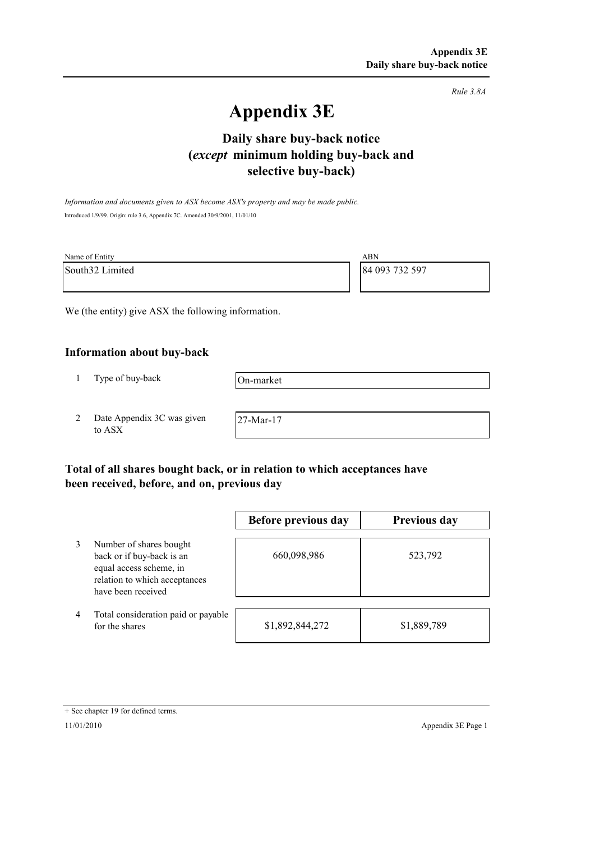*Rule 3.8A*

# **Appendix 3E**

# **selective buy-back) Daily share buy-back notice (***except* **minimum holding buy-back and**

*Information and documents given to ASX become ASX's property and may be made public.* Introduced 1/9/99. Origin: rule 3.6, Appendix 7C. Amended 30/9/2001, 11/01/10

| Name of Entity  | ABN            |
|-----------------|----------------|
| South32 Limited | 84 093 732 597 |

We (the entity) give ASX the following information.

### **Information about buy-back**

1 Type of buy-back

On-market

2 Date Appendix 3C was given to ASX

27-Mar-17

# **Total of all shares bought back, or in relation to which acceptances have been received, before, and on, previous day**

|   |                                                                                                                                        | Before previous day | Previous day |
|---|----------------------------------------------------------------------------------------------------------------------------------------|---------------------|--------------|
| 3 | Number of shares bought<br>back or if buy-back is an<br>equal access scheme, in<br>relation to which acceptances<br>have been received | 660,098,986         | 523,792      |
| 4 | Total consideration paid or payable<br>for the shares                                                                                  | \$1,892,844,272     | \$1,889,789  |

#### + See chapter 19 for defined terms.